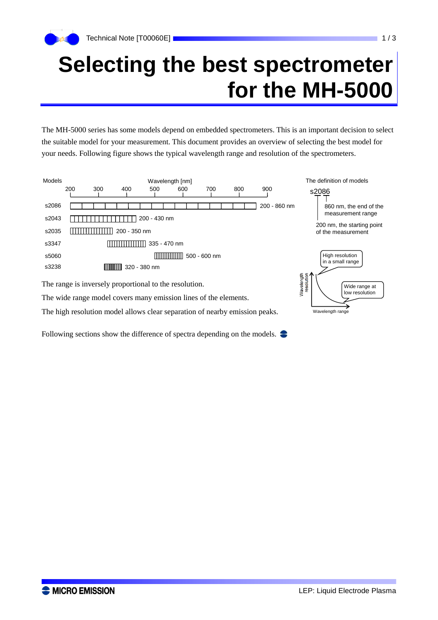## **Selecting the best spectrometer for the MH-5000**

The MH-5000 series has some models depend on embedded spectrometers. This is an important decision to select the suitable model for your measurement. This document provides an overview of selecting the best model for your needs. Following figure shows the typical wavelength range and resolution of the spectrometers.



The wide range model covers many emission lines of the elements.

The high resolution model allows clear separation of nearby emission peaks.

Following sections show the difference of spectra depending on the models.

Wavelength range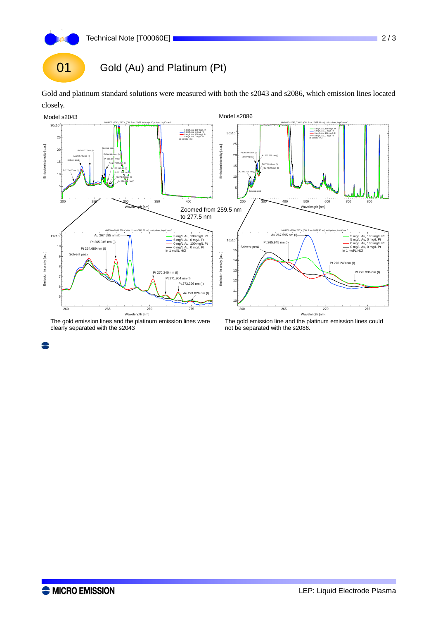

Gold and platinum standard solutions were measured with both the s2043 and s2086, which emission lines located closely.



The gold emission lines and the platinum emission lines were clearly separated with the s2043

The gold emission line and the platinum emission lines could not be separated with the s2086.

8